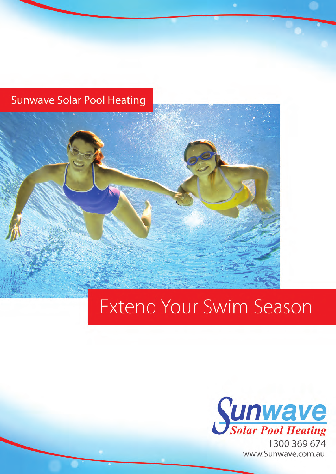### **Sunwave Solar Pool Heating**

## **Extend Your Swim Season**

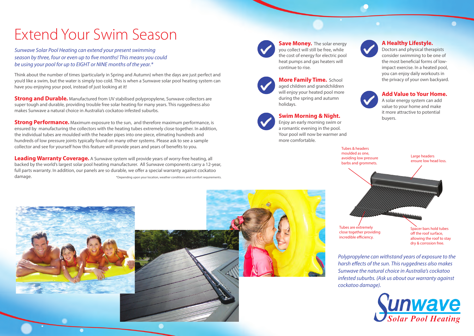## Extend Your Swim Season

*Sunwave Solar Pool Heating can extend your present swimming season by three, four or even up to five months! This means you could be using your pool for up to EIGHT or NINE months of the year.\**

Think about the number of times (particularly in Spring and Autumn) when the days are just perfect and you'd like a swim, but the water is simply too cold. This is when a Sunwave solar pool heating system can have you enjoying your pool, instead of just looking at it!

**Strong and Durable.** Manufactured from UV stabilised polypropylene, Sunwave collectors are super tough and durable, providing trouble free solar heating for many years. This ruggedness also makes Sunwave a natural choice in Australia's cockatoo infested suburbs.

**Strong Performance.** Maximum exposure to the sun, and therefore maximum performance, is ensured by manufacturing the collectors with the heating tubes extremely close together. In addition, the individual tubes are moulded with the header pipes into one piece, elimating hundreds and hundreds of low pressure joints typically found on many other systems. Please ask to see a sample collector and see for yourself how this feature will provide years and years of benefits to you.

**Save Money.** The solar energy you collect will still be free, while the cost of energy for electric pool heat pumps and gas heaters will continue to rise.



Doctors and physical therapists consider swimming to be one of the most beneficial forms of lowimpact exercise. In a heated pool, you can enjoy daily workouts in **More Family Time.** School **the privacy of your own backyard.** School and Management of the privacy of your own backyard.



**Leading Warranty Coverage.** A Sunwave system will provide years of worry-free heating, all backed by the world's largest solar pool heating manufacturer. All Sunwave components carry a 12-year, full parts warranty. In addition, our panels are so durable, we offer a special warranty against cockatoo damage. \*Depending upon your location, weather conditions and comfort requirements.

Tubes & headers moulded as one,







dry & corrosion free.

#### **A Healthy Lifestyle.**

aged children and grandchildren will enjoy your heated pool more during the spring and autumn holidays.

#### **Swim Morning & Night.**

Enjoy an early morning swim or a romantic evening in the pool. Your pool will now be warmer and more comfortable.

#### **Add Value to Your Home.**

A solar energy system can add value to your home and make it more attractive to potential buyers.

*Polypropylene can withstand years of exposure to the harsh effects of the sun. This ruggedness also makes Sunwave the natural choice in Australia's cockatoo infested suburbs. (Ask us about our warranty against cockatoo damage).*